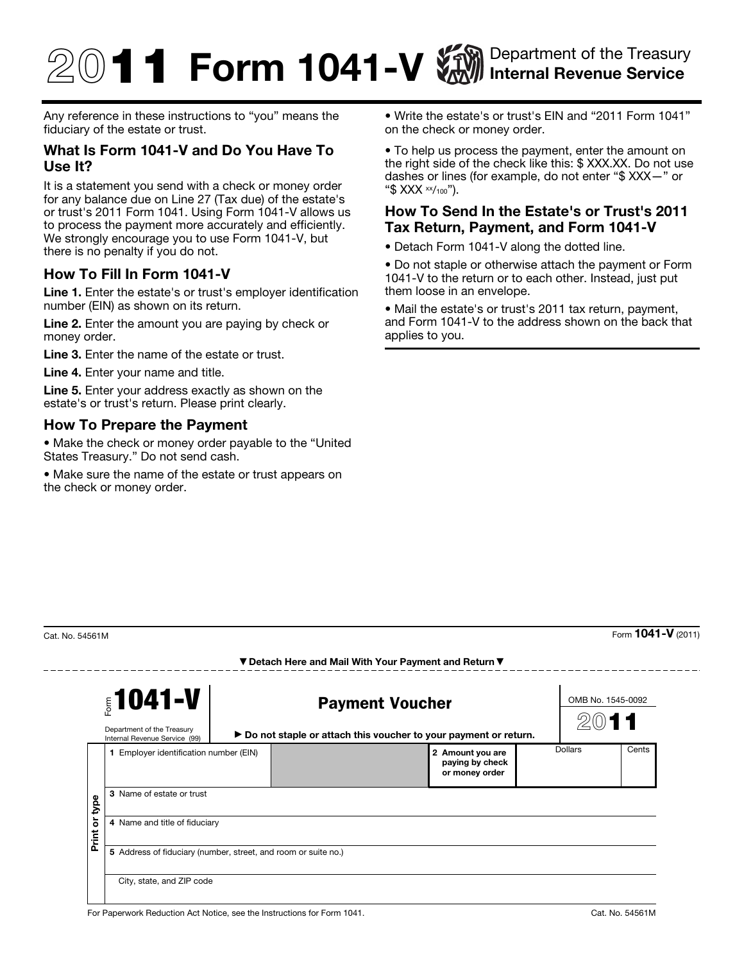# $\textcircled{1}$  1 Form 1041-V  $\textcircled{1}$  Internal Revenue Service Internal Revenue Service

Any reference in these instructions to "you" means the fiduciary of the estate or trust.

### What Is Form 1041-V and Do You Have To Use It?

It is a statement you send with a check or money order for any balance due on Line 27 (Tax due) of the estate's or trust's 2011 Form 1041. Using Form 1041-V allows us to process the payment more accurately and efficiently. We strongly encourage you to use Form 1041-V, but there is no penalty if you do not.

## How To Fill In Form 1041-V

Line 1. Enter the estate's or trust's employer identification number (EIN) as shown on its return.

Line 2. Enter the amount you are paying by check or money order.

Line 3. Enter the name of the estate or trust.

Line 4. Enter your name and title.

Line 5. Enter your address exactly as shown on the estate's or trust's return. Please print clearly.

#### How To Prepare the Payment

• Make the check or money order payable to the "United States Treasury." Do not send cash.

• Make sure the name of the estate or trust appears on the check or money order.

• Write the estate's or trust's EIN and "2011 Form 1041" on the check or money order.

• To help us process the payment, enter the amount on the right side of the check like this: \$ XXX.XX. Do not use dashes or lines (for example, do not enter "\$ XXX—" or "\$  $XXX \times 100$ ").

#### How To Send In the Estate's or Trust's 2011 Tax Return, Payment, and Form 1041-V

• Detach Form 1041-V along the dotted line.

• Do not staple or otherwise attach the payment or Form 1041-V to the return or to each other. Instead, just put them loose in an envelope.

• Mail the estate's or trust's 2011 tax return, payment, and Form 1041-V to the address shown on the back that applies to you.

 $- - - - - -$ 

 $\frac{1}{2}$ Cat. No. 54561M Form **1041-V** (2011)

|                    | $$1041-V$<br>Department of the Treasury<br>Internal Revenue Service (99) |  | <b>Payment Voucher</b><br>▶ Do not staple or attach this voucher to your payment or return. |                                                       |  | OMB No. 1545-0092 |       |  |
|--------------------|--------------------------------------------------------------------------|--|---------------------------------------------------------------------------------------------|-------------------------------------------------------|--|-------------------|-------|--|
|                    | 1 Employer identification number (EIN)                                   |  |                                                                                             | 2 Amount you are<br>paying by check<br>or money order |  | Dollars           | Cents |  |
| type<br>ò<br>Print | 3 Name of estate or trust                                                |  |                                                                                             |                                                       |  |                   |       |  |
|                    | 4 Name and title of fiduciary                                            |  |                                                                                             |                                                       |  |                   |       |  |
|                    | 5 Address of fiduciary (number, street, and room or suite no.)           |  |                                                                                             |                                                       |  |                   |       |  |
|                    | City, state, and ZIP code                                                |  |                                                                                             |                                                       |  |                   |       |  |

▼ Detach Here and Mail With Your Payment and Return ▼

For Paperwork Reduction Act Notice, see the Instructions for Form 1041. Cat. Cat. No. 54561M